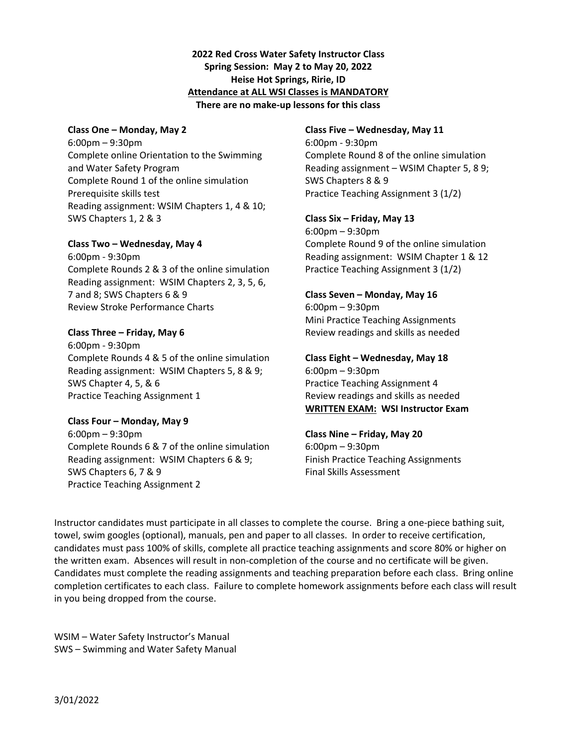### **2022 Red Cross Water Safety Instructor Class Spring Session: May 2 to May 20, 2022 Heise Hot Springs, Ririe, ID Attendance at ALL WSI Classes is MANDATORY There are no make‐up lessons for this class**

### **Class One – Monday, May 2**

6:00pm – 9:30pm Complete online Orientation to the Swimming and Water Safety Program Complete Round 1 of the online simulation Prerequisite skills test Reading assignment: WSIM Chapters 1, 4 & 10; SWS Chapters 1, 2 & 3

### **Class Two – Wednesday, May 4**

6:00pm ‐ 9:30pm Complete Rounds 2 & 3 of the online simulation Reading assignment: WSIM Chapters 2, 3, 5, 6, 7 and 8; SWS Chapters 6 & 9 Review Stroke Performance Charts

### **Class Three – Friday, May 6**

6:00pm ‐ 9:30pm Complete Rounds 4 & 5 of the online simulation Reading assignment: WSIM Chapters 5, 8 & 9; SWS Chapter 4, 5, & 6 Practice Teaching Assignment 1

### **Class Four – Monday, May 9**

6:00pm – 9:30pm Complete Rounds 6 & 7 of the online simulation Reading assignment: WSIM Chapters 6 & 9; SWS Chapters 6, 7 & 9 Practice Teaching Assignment 2

### **Class Five – Wednesday, May 11**

6:00pm ‐ 9:30pm Complete Round 8 of the online simulation Reading assignment – WSIM Chapter 5, 8 9; SWS Chapters 8 & 9 Practice Teaching Assignment 3 (1/2)

### **Class Six – Friday, May 13**

6:00pm – 9:30pm Complete Round 9 of the online simulation Reading assignment: WSIM Chapter 1 & 12 Practice Teaching Assignment 3 (1/2)

## **Class Seven – Monday, May 16**

6:00pm – 9:30pm Mini Practice Teaching Assignments Review readings and skills as needed

### **Class Eight – Wednesday, May 18**

6:00pm – 9:30pm Practice Teaching Assignment 4 Review readings and skills as needed **WRITTEN EXAM: WSI Instructor Exam** 

### **Class Nine – Friday, May 20**

6:00pm – 9:30pm Finish Practice Teaching Assignments Final Skills Assessment

Instructor candidates must participate in all classes to complete the course. Bring a one‐piece bathing suit, towel, swim googles (optional), manuals, pen and paper to all classes. In order to receive certification, candidates must pass 100% of skills, complete all practice teaching assignments and score 80% or higher on the written exam. Absences will result in non‐completion of the course and no certificate will be given. Candidates must complete the reading assignments and teaching preparation before each class. Bring online completion certificates to each class. Failure to complete homework assignments before each class will result in you being dropped from the course.

WSIM – Water Safety Instructor's Manual SWS – Swimming and Water Safety Manual